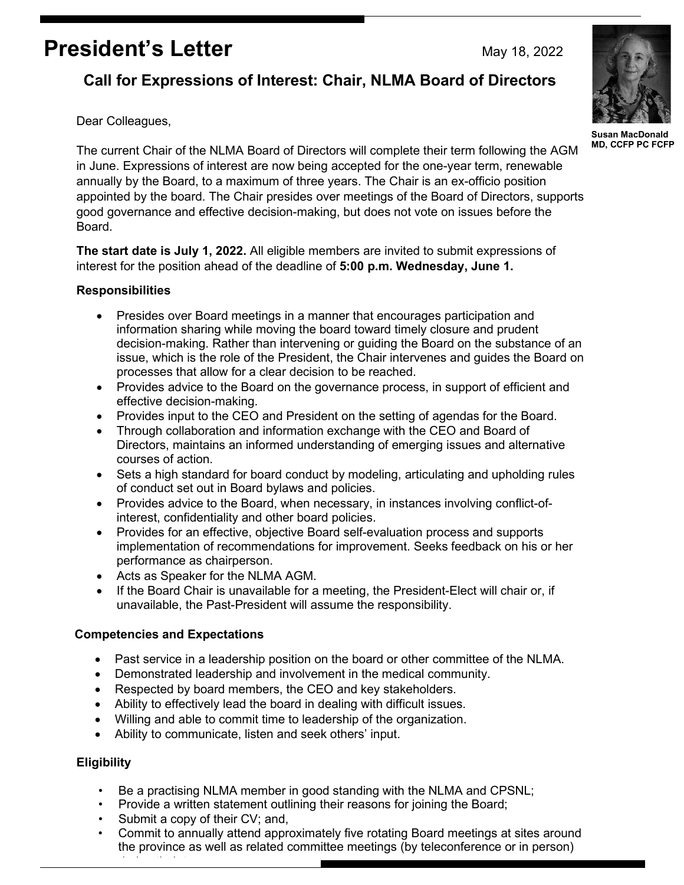# **President's Letter** May 18, 2022

# **Call for Expressions of Interest: Chair, NLMA Board of Directors**

Dear Colleagues,

The current Chair of the NLMA Board of Directors will complete their term following the AGM in June. Expressions of interest are now being accepted for the one-year term, renewable annually by the Board, to a maximum of three years. The Chair is an ex-officio position appointed by the board. The Chair presides over meetings of the Board of Directors, supports good governance and effective decision-making, but does not vote on issues before the Board.

**The start date is July 1, 2022.** All eligible members are invited to submit expressions of interest for the position ahead of the deadline of **5:00 p.m. Wednesday, June 1.**

## **Responsibilities**

- Presides over Board meetings in a manner that encourages participation and information sharing while moving the board toward timely closure and prudent decision-making. Rather than intervening or guiding the Board on the substance of an issue, which is the role of the President, the Chair intervenes and guides the Board on processes that allow for a clear decision to be reached.
- Provides advice to the Board on the governance process, in support of efficient and effective decision-making.
- Provides input to the CEO and President on the setting of agendas for the Board.
- Through collaboration and information exchange with the CEO and Board of Directors, maintains an informed understanding of emerging issues and alternative courses of action.
- Sets a high standard for board conduct by modeling, articulating and upholding rules of conduct set out in Board bylaws and policies.
- Provides advice to the Board, when necessary, in instances involving conflict-ofinterest, confidentiality and other board policies.
- Provides for an effective, objective Board self-evaluation process and supports implementation of recommendations for improvement. Seeks feedback on his or her performance as chairperson.
- Acts as Speaker for the NLMA AGM.
- If the Board Chair is unavailable for a meeting, the President-Elect will chair or, if unavailable, the Past-President will assume the responsibility.

## **Competencies and Expectations**

- Past service in a leadership position on the board or other committee of the NLMA.
- Demonstrated leadership and involvement in the medical community.
- Respected by board members, the CEO and key stakeholders.
- Ability to effectively lead the board in dealing with difficult issues.
- Willing and able to commit time to leadership of the organization.
- Ability to communicate, listen and seek others' input.

## **Eligibility**

- Be a practising NLMA member in good standing with the NLMA and CPSNL;
- Provide a written statement outlining their reasons for joining the Board;
- Submit a copy of their CV; and,

d i the i the internet

• Commit to annually attend approximately five rotating Board meetings at sites around the province as well as related committee meetings (by teleconference or in person)



**Susan MacDonald MD, CCFP PC FCFP**